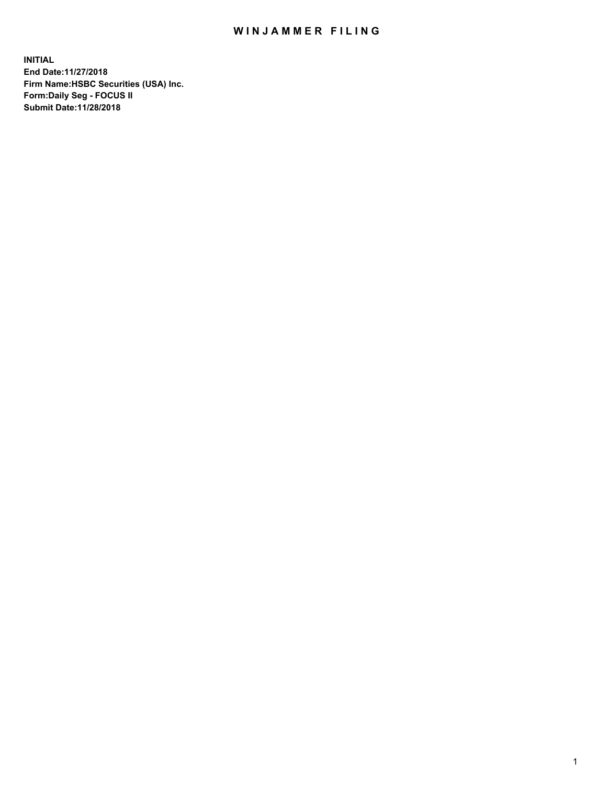## WIN JAMMER FILING

**INITIAL End Date:11/27/2018 Firm Name:HSBC Securities (USA) Inc. Form:Daily Seg - FOCUS II Submit Date:11/28/2018**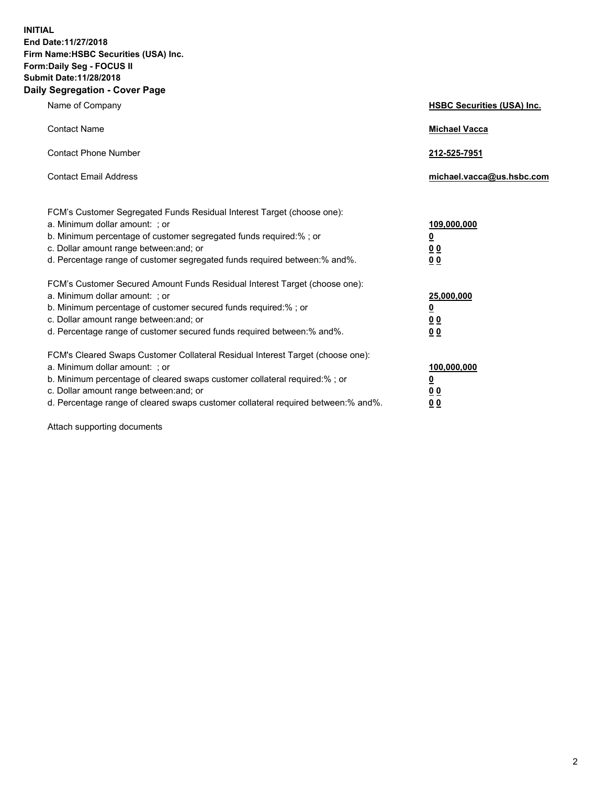**INITIAL End Date:11/27/2018 Firm Name:HSBC Securities (USA) Inc. Form:Daily Seg - FOCUS II Submit Date:11/28/2018 Daily Segregation - Cover Page**

| Name of Company                                                                                                                                                                                                                                                                                                                | <b>HSBC Securities (USA) Inc.</b>                                          |
|--------------------------------------------------------------------------------------------------------------------------------------------------------------------------------------------------------------------------------------------------------------------------------------------------------------------------------|----------------------------------------------------------------------------|
| <b>Contact Name</b>                                                                                                                                                                                                                                                                                                            | <b>Michael Vacca</b>                                                       |
| <b>Contact Phone Number</b>                                                                                                                                                                                                                                                                                                    | 212-525-7951                                                               |
| <b>Contact Email Address</b>                                                                                                                                                                                                                                                                                                   | michael.vacca@us.hsbc.com                                                  |
| FCM's Customer Segregated Funds Residual Interest Target (choose one):<br>a. Minimum dollar amount: : or<br>b. Minimum percentage of customer segregated funds required:% ; or<br>c. Dollar amount range between: and; or<br>d. Percentage range of customer segregated funds required between:% and%.                         | 109,000,000<br>$\overline{\mathbf{0}}$<br>0 <sub>0</sub><br>0 <sub>0</sub> |
| FCM's Customer Secured Amount Funds Residual Interest Target (choose one):<br>a. Minimum dollar amount: ; or<br>b. Minimum percentage of customer secured funds required:%; or<br>c. Dollar amount range between: and; or<br>d. Percentage range of customer secured funds required between:% and%.                            | 25,000,000<br><u>0</u><br>0 <sub>0</sub><br>00                             |
| FCM's Cleared Swaps Customer Collateral Residual Interest Target (choose one):<br>a. Minimum dollar amount: ; or<br>b. Minimum percentage of cleared swaps customer collateral required:% ; or<br>c. Dollar amount range between: and; or<br>d. Percentage range of cleared swaps customer collateral required between:% and%. | 100,000,000<br><u>0</u><br>00<br>0 <sub>0</sub>                            |

Attach supporting documents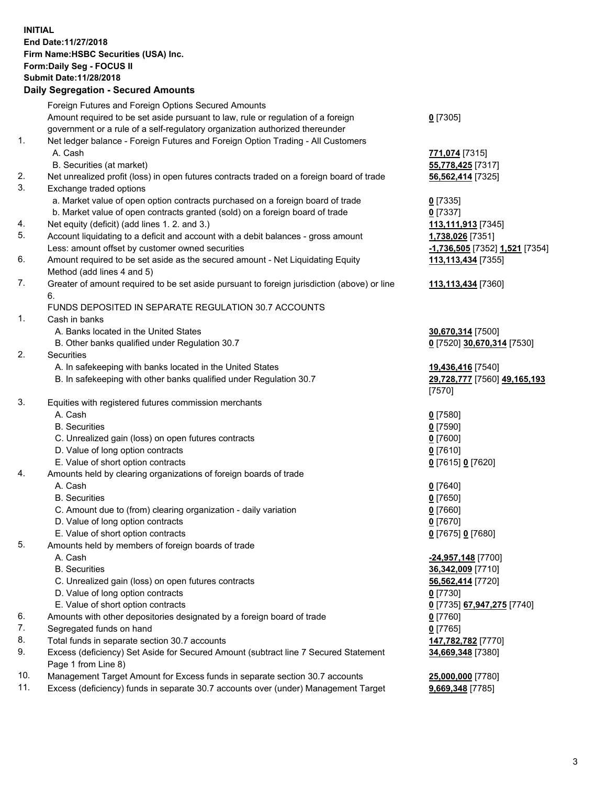**INITIAL End Date:11/27/2018 Firm Name:HSBC Securities (USA) Inc. Form:Daily Seg - FOCUS II Submit Date:11/28/2018 Daily Segregation - Secured Amounts** Foreign Futures and Foreign Options Secured Amounts Amount required to be set aside pursuant to law, rule or regulation of a foreign government or a rule of a self-regulatory organization authorized thereunder 1. Net ledger balance - Foreign Futures and Foreign Option Trading - All Customers A. Cash **771,074** [7315] B. Securities (at market) **55,778,425** [7317] 2. Net unrealized profit (loss) in open futures contracts traded on a foreign board of trade **56,562,414** [7325] 3. Exchange traded options

- a. Market value of open option contracts purchased on a foreign board of trade **0** [7335]
- b. Market value of open contracts granted (sold) on a foreign board of trade **0** [7337]
- 4. Net equity (deficit) (add lines 1. 2. and 3.) **113,111,913** [7345]
- 5. Account liquidating to a deficit and account with a debit balances gross amount **1,738,026** [7351] Less: amount offset by customer owned securities **-1,736,505** [7352] **1,521** [7354]
- 6. Amount required to be set aside as the secured amount Net Liquidating Equity Method (add lines 4 and 5)
- 7. Greater of amount required to be set aside pursuant to foreign jurisdiction (above) or line 6.

## FUNDS DEPOSITED IN SEPARATE REGULATION 30.7 ACCOUNTS

- 1. Cash in banks
	- A. Banks located in the United States **30,670,314** [7500]
	- B. Other banks qualified under Regulation 30.7 **0** [7520] **30,670,314** [7530]
- 2. Securities
	- A. In safekeeping with banks located in the United States **19,436,416** [7540]
	- B. In safekeeping with other banks qualified under Regulation 30.7 **29,728,777** [7560] **49,165,193**
- 3. Equities with registered futures commission merchants
	- A. Cash **0** [7580]
	- B. Securities **0** [7590]
	- C. Unrealized gain (loss) on open futures contracts **0** [7600]
	- D. Value of long option contracts **0** [7610]
	- E. Value of short option contracts **0** [7615] **0** [7620]
- 4. Amounts held by clearing organizations of foreign boards of trade
	- A. Cash **0** [7640]
	- B. Securities **0** [7650]
	- C. Amount due to (from) clearing organization daily variation **0** [7660]
	- D. Value of long option contracts **0** [7670]
	- E. Value of short option contracts **0** [7675] **0** [7680]
- 5. Amounts held by members of foreign boards of trade
	-
	-
	- C. Unrealized gain (loss) on open futures contracts **56,562,414** [7720]
	- D. Value of long option contracts **0** [7730]
	- E. Value of short option contracts **0** [7735] **67,947,275** [7740]
- 6. Amounts with other depositories designated by a foreign board of trade **0** [7760]
- 7. Segregated funds on hand **0** [7765]
- 8. Total funds in separate section 30.7 accounts **147,782,782** [7770]
- 9. Excess (deficiency) Set Aside for Secured Amount (subtract line 7 Secured Statement Page 1 from Line 8)
- 10. Management Target Amount for Excess funds in separate section 30.7 accounts **25,000,000** [7780]
- 11. Excess (deficiency) funds in separate 30.7 accounts over (under) Management Target **9,669,348** [7785]

**113,113,434** [7360]

**113,113,434** [7355]

**0** [7305]

- 
- [7570]
- 
- 
- A. Cash **-24,957,148** [7700] B. Securities **36,342,009** [7710] **34,669,348** [7380]
	-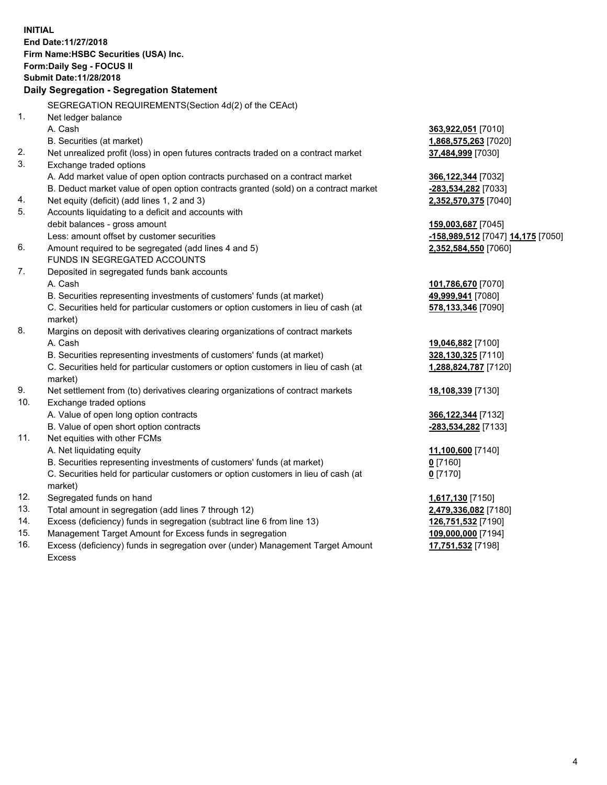|     | <b>INITIAL</b><br>End Date: 11/27/2018<br>Firm Name: HSBC Securities (USA) Inc.<br>Form: Daily Seg - FOCUS II<br>Submit Date: 11/28/2018 |                                   |
|-----|------------------------------------------------------------------------------------------------------------------------------------------|-----------------------------------|
|     | Daily Segregation - Segregation Statement                                                                                                |                                   |
|     | SEGREGATION REQUIREMENTS(Section 4d(2) of the CEAct)                                                                                     |                                   |
| 1.  | Net ledger balance                                                                                                                       |                                   |
|     | A. Cash                                                                                                                                  | 363,922,051 [7010]                |
|     | B. Securities (at market)                                                                                                                | 1,868,575,263 [7020]              |
| 2.  | Net unrealized profit (loss) in open futures contracts traded on a contract market                                                       | 37,484,999 [7030]                 |
| 3.  | Exchange traded options                                                                                                                  |                                   |
|     | A. Add market value of open option contracts purchased on a contract market                                                              | 366,122,344 [7032]                |
|     | B. Deduct market value of open option contracts granted (sold) on a contract market                                                      | -283,534,282 [7033]               |
| 4.  | Net equity (deficit) (add lines 1, 2 and 3)                                                                                              | 2,352,570,375 [7040]              |
| 5.  | Accounts liquidating to a deficit and accounts with                                                                                      |                                   |
|     | debit balances - gross amount                                                                                                            | 159,003,687 [7045]                |
|     | Less: amount offset by customer securities                                                                                               | -158,989,512 [7047] 14,175 [7050] |
| 6.  | Amount required to be segregated (add lines 4 and 5)                                                                                     | 2,352,584,550 [7060]              |
|     | FUNDS IN SEGREGATED ACCOUNTS                                                                                                             |                                   |
| 7.  | Deposited in segregated funds bank accounts                                                                                              |                                   |
|     | A. Cash                                                                                                                                  | 101,786,670 [7070]                |
|     | B. Securities representing investments of customers' funds (at market)                                                                   | 49,999,941 [7080]                 |
|     | C. Securities held for particular customers or option customers in lieu of cash (at                                                      | 578,133,346 [7090]                |
|     | market)                                                                                                                                  |                                   |
| 8.  | Margins on deposit with derivatives clearing organizations of contract markets                                                           |                                   |
|     | A. Cash                                                                                                                                  | 19,046,882 [7100]                 |
|     | B. Securities representing investments of customers' funds (at market)                                                                   | 328,130,325 [7110]                |
|     | C. Securities held for particular customers or option customers in lieu of cash (at                                                      | 1,288,824,787 [7120]              |
|     | market)                                                                                                                                  |                                   |
| 9.  | Net settlement from (to) derivatives clearing organizations of contract markets                                                          | 18,108,339 [7130]                 |
| 10. | Exchange traded options                                                                                                                  |                                   |
|     | A. Value of open long option contracts                                                                                                   | 366,122,344 [7132]                |
|     | B. Value of open short option contracts                                                                                                  | -283,534,282 [7133]               |
| 11. | Net equities with other FCMs                                                                                                             |                                   |
|     | A. Net liquidating equity                                                                                                                | 11,100,600 [7140]                 |
|     | B. Securities representing investments of customers' funds (at market)                                                                   | $0$ [7160]                        |
|     | C. Securities held for particular customers or option customers in lieu of cash (at                                                      | $0$ [7170]                        |
|     | market)                                                                                                                                  |                                   |
| 12. | Segregated funds on hand                                                                                                                 | 1,617,130 [7150]                  |
| 13. | Total amount in segregation (add lines 7 through 12)                                                                                     | 2,479,336,082 [7180]              |
| 14. | Excess (deficiency) funds in segregation (subtract line 6 from line 13)                                                                  | 126,751,532 [7190]                |
| 15. | Management Target Amount for Excess funds in segregation                                                                                 | 109,000,000 [7194]                |
|     |                                                                                                                                          |                                   |

16. Excess (deficiency) funds in segregation over (under) Management Target Amount Excess

**17,751,532** [7198]